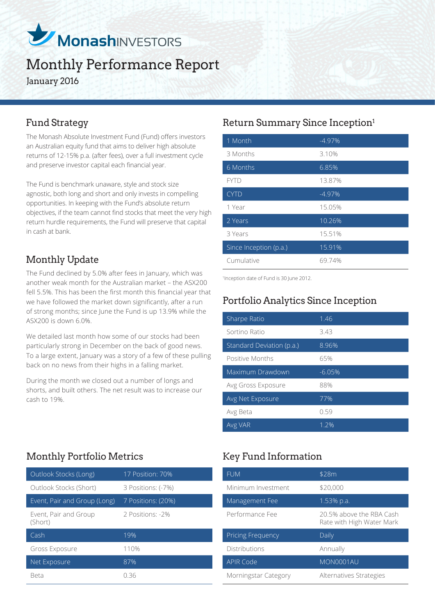

# Monthly Performance Report

January 2016

The Monash Absolute Investment Fund (Fund) offers investors an Australian equity fund that aims to deliver high absolute returns of 12-15% p.a. (after fees), over a full investment cycle and preserve investor capital each financial year.

The Fund is benchmark unaware, style and stock size agnostic, both long and short and only invests in compelling opportunities. In keeping with the Fund's absolute return objectives, if the team cannot find stocks that meet the very high return hurdle requirements, the Fund will preserve that capital in cash at bank.

## Monthly Update

The Fund declined by 5.0% after fees in January, which was another weak month for the Australian market – the ASX200 fell 5.5%. This has been the first month this financial year that we have followed the market down significantly, after a run of strong months; since June the Fund is up 13.9% while the ASX200 is down 6.0%.

We detailed last month how some of our stocks had been particularly strong in December on the back of good news. To a large extent, January was a story of a few of these pulling back on no news from their highs in a falling market.

During the month we closed out a number of longs and shorts, and built others. The net result was to increase our cash to 19%.

## Monthly Portfolio Metrics Key Fund Information

| Outlook Stocks (Long)            | 17 Position: 70%   |
|----------------------------------|--------------------|
| Outlook Stocks (Short)           | 3 Positions: (-7%) |
| Event, Pair and Group (Long)     | 7 Positions: (20%) |
| Event, Pair and Group<br>(Short) | 2 Positions: -2%   |
| Cash                             | 19%                |
| Gross Exposure                   | 110%               |
| Net Exposure                     | 87%                |
| Beta                             | N 36               |

## Fund Strategy **Return Summary Since Inception**<sup>1</sup>

| 1 Month                | $-4.97%$ |
|------------------------|----------|
| 3 Months               | 3.10%    |
| 6 Months               | 6.85%    |
| <b>FYTD</b>            | 13.87%   |
| <b>CYTD</b>            | $-4.97%$ |
| 1 Year                 | 15.05%   |
| 2 Years                | 10.26%   |
| 3 Years                | 15.51%   |
| Since Inception (p.a.) | 15.91%   |
| Cumulative             | 69.74%   |

1 Inception date of Fund is 30 June 2012.

## Portfolio Analytics Since Inception

| Sharpe Ratio              | 1.46     |
|---------------------------|----------|
| Sortino Ratio             | 3.43     |
| Standard Deviation (p.a.) | 8.96%    |
| Positive Months           | 65%      |
| Maximum Drawdown          | $-6.05%$ |
| Avg Gross Exposure        | 88%      |
| Avg Net Exposure          | 77%      |
| Avg Beta                  | 0.59     |
| Avg VAR                   | 1.2%     |

| <b>FUM</b>           | \$28m                                                 |
|----------------------|-------------------------------------------------------|
| Minimum Investment   | \$20,000                                              |
| Management Fee       | 1.53% p.a.                                            |
| Performance Fee      | 20.5% above the RBA Cash<br>Rate with High Water Mark |
| Pricing Frequency    | Daily                                                 |
| <b>Distributions</b> | Annually                                              |
| APIR Code            | MON0001AU                                             |
| Morningstar Category | Alternatives Strategies                               |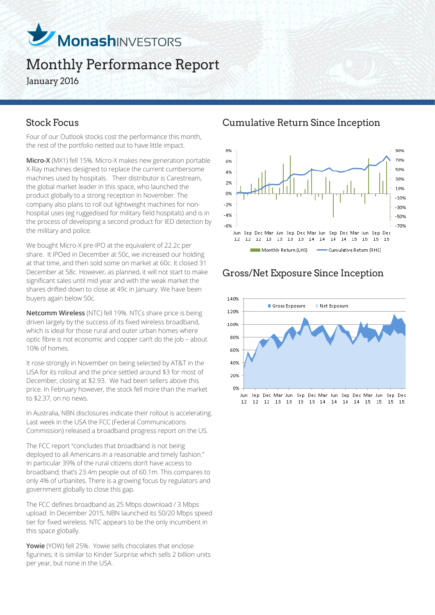

## Monthly Performance Report January 2016

Four of our Outlook stocks cost the performance this month, the rest of the portfolio netted out to have little impact.

**Micro-X** (MX1) fell 15%. Micro-X makes new generation portable X-Ray machines designed to replace the current cumbersome machines used by hospitals. Their distributor is Carestream, the global market leader in this space, who launched the product globally to a strong reception in November. The company also plans to roll out lightweight machines for nonhospital uses (eg ruggedised for military field hospitals) and is in the process of developing a second product for IED detection by the military and police.

We bought Micro-X pre-IPO at the equivalent of 22.2c per share. It IPOed in December at 50c, we increased our holding at that time, and then sold some on market at 60c. It closed 31 December at 58c. However, as planned, it will not start to make significant sales until mid year and with the weak market the shares drifted down to close at 49c in January. We have been buyers again below 50c.

**Netcomm Wireless** (NTC) fell 19%. NTCs share price is being driven largely by the success of its fixed wireless broadband, which is ideal for those rural and outer urban homes where optic fibre is not economic and copper can't do the job – about 10% of homes.

It rose strongly in November on being selected by AT&T in the USA for its rollout and the price settled around \$3 for most of December, closing at \$2.93. We had been sellers above this price. In February however, the stock fell more than the market to \$2.37, on no news.

In Australia, NBN disclosures indicate their rollout is accelerating. Last week in the USA the FCC (Federal Communications Commission) released a broadband progress report on the US.

The FCC report "concludes that broadband is not being deployed to all Americans in a reasonable and timely fashion." In particular 39% of the rural citizens don't have access to broadband; that's 23.4m people out of 60.1m. This compares to only 4% of urbanites. There is a growing focus by regulators and government globally to close this gap.

The FCC defines broadband as 25 Mbps download / 3 Mbps upload. In December 2015, NBN launched its 50/20 Mbps speed tier for fixed wireless. NTC appears to be the only incumbent in this space globally.

**Yowie** (YOW) fell 25%. Yowie sells chocolates that enclose figurines; it is similar to Kinder Surprise which sells 2 billion units per year, but none in the USA.

Stock Focus Cumulative Return Since Inception



## Gross/Net Exposure Since Inception